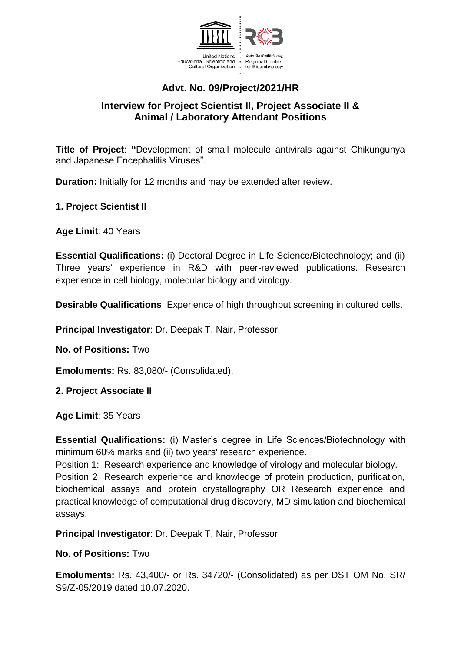

# **Advt. No. 09/Project/2021/HR**

# **Interview for Project Scientist II, Project Associate II & Animal / Laboratory Attendant Positions**

**Title of Project**: **"**Development of small molecule antivirals against Chikungunya and Japanese Encephalitis Viruses".

**Duration:** Initially for 12 months and may be extended after review.

**1. Project Scientist II**

**Age Limit**: 40 Years

**Essential Qualifications:** (i) Doctoral Degree in Life Science/Biotechnology; and (ii) Three years' experience in R&D with peer-reviewed publications. Research experience in cell biology, molecular biology and virology.

**Desirable Qualifications**: Experience of high throughput screening in cultured cells.

**Principal Investigator**: Dr. Deepak T. Nair, Professor.

**No. of Positions:** Two

**Emoluments:** Rs. 83,080/- (Consolidated).

**2. Project Associate II**

**Age Limit**: 35 Years

**Essential Qualifications:** (i) Master's degree in Life Sciences/Biotechnology with minimum 60% marks and (ii) two years' research experience.

Position 1: Research experience and knowledge of virology and molecular biology. Position 2: Research experience and knowledge of protein production, purification, biochemical assays and protein crystallography OR Research experience and practical knowledge of computational drug discovery, MD simulation and biochemical assays.

**Principal Investigator**: Dr. Deepak T. Nair, Professor.

**No. of Positions:** Two

**Emoluments:** Rs. 43,400/- or Rs. 34720/- (Consolidated) as per DST OM No. SR/ S9/Z-05/2019 dated 10.07.2020.